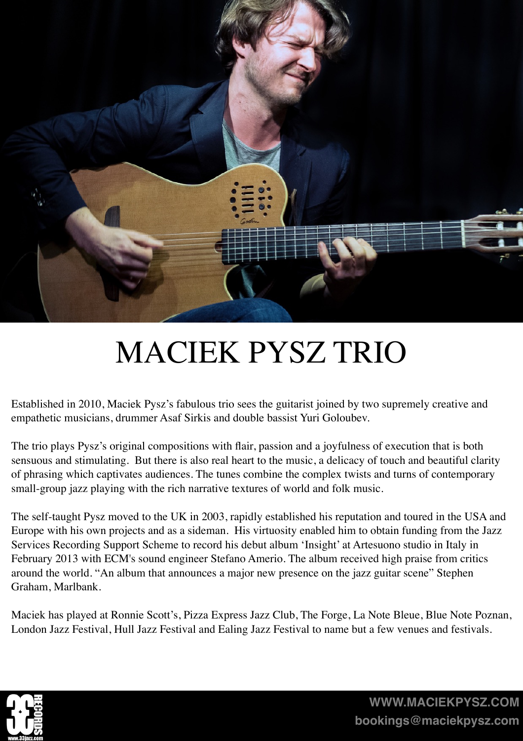

## MACIEK PYSZ TRIO

Established in 2010, Maciek Pysz's fabulous trio sees the guitarist joined by two supremely creative and empathetic musicians, drummer Asaf Sirkis and double bassist Yuri Goloubev.

The trio plays Pysz's original compositions with flair, passion and a joyfulness of execution that is both sensuous and stimulating. But there is also real heart to the music, a delicacy of touch and beautiful clarity of phrasing which captivates audiences. The tunes combine the complex twists and turns of contemporary small-group jazz playing with the rich narrative textures of world and folk music.

The self-taught Pysz moved to the UK in 2003, rapidly established his reputation and toured in the USA and Europe with his own projects and as a sideman. His virtuosity enabled him to obtain funding from the Jazz Services Recording Support Scheme to record his debut album 'Insight' at Artesuono studio in Italy in February 2013 with ECM's sound engineer Stefano Amerio. The album received high praise from critics around the world. "An album that announces a major new presence on the jazz guitar scene" Stephen Graham, Marlbank.

Maciek has played at Ronnie Scott's, Pizza Express Jazz Club, The Forge, La Note Bleue, Blue Note Poznan, London Jazz Festival, Hull Jazz Festival and Ealing Jazz Festival to name but a few venues and festivals.



**[WWW.MACIEKPYSZ.COM](http://WWW.MACIEKPYSZ.COM) [bookings@maciekpysz.com](mailto:bookings@maciekpysz.com)**